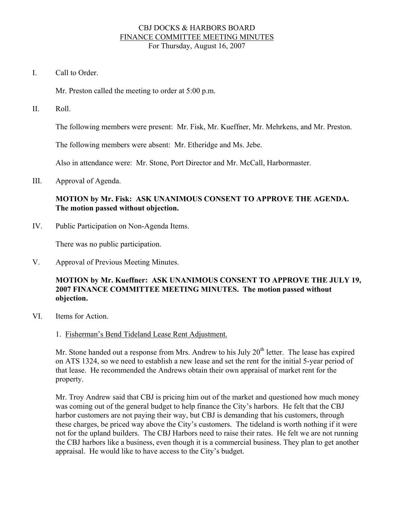### CBJ DOCKS & HARBORS BOARD FINANCE COMMITTEE MEETING MINUTES For Thursday, August 16, 2007

I. Call to Order.

Mr. Preston called the meeting to order at 5:00 p.m.

II. Roll.

The following members were present: Mr. Fisk, Mr. Kueffner, Mr. Mehrkens, and Mr. Preston.

The following members were absent: Mr. Etheridge and Ms. Jebe.

Also in attendance were: Mr. Stone, Port Director and Mr. McCall, Harbormaster.

III. Approval of Agenda.

## **MOTION by Mr. Fisk: ASK UNANIMOUS CONSENT TO APPROVE THE AGENDA. The motion passed without objection.**

IV. Public Participation on Non-Agenda Items.

There was no public participation.

V. Approval of Previous Meeting Minutes.

## **MOTION by Mr. Kueffner: ASK UNANIMOUS CONSENT TO APPROVE THE JULY 19, 2007 FINANCE COMMITTEE MEETING MINUTES. The motion passed without objection.**

- VI. Items for Action.
	- 1. Fisherman's Bend Tideland Lease Rent Adjustment.

Mr. Stone handed out a response from Mrs. Andrew to his July  $20<sup>th</sup>$  letter. The lease has expired on ATS 1324, so we need to establish a new lease and set the rent for the initial 5-year period of that lease. He recommended the Andrews obtain their own appraisal of market rent for the property.

Mr. Troy Andrew said that CBJ is pricing him out of the market and questioned how much money was coming out of the general budget to help finance the City's harbors. He felt that the CBJ harbor customers are not paying their way, but CBJ is demanding that his customers, through these charges, be priced way above the City's customers. The tideland is worth nothing if it were not for the upland builders. The CBJ Harbors need to raise their rates. He felt we are not running the CBJ harbors like a business, even though it is a commercial business. They plan to get another appraisal. He would like to have access to the City's budget.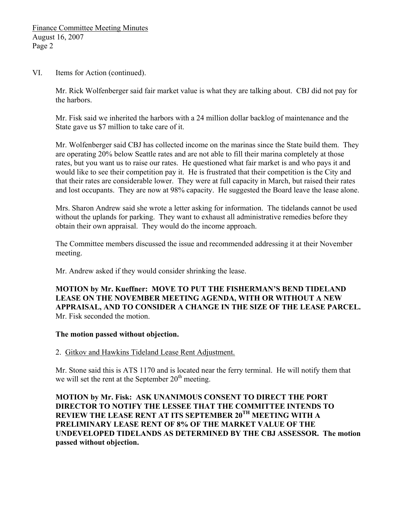VI. Items for Action (continued).

Mr. Rick Wolfenberger said fair market value is what they are talking about. CBJ did not pay for the harbors.

Mr. Fisk said we inherited the harbors with a 24 million dollar backlog of maintenance and the State gave us \$7 million to take care of it.

Mr. Wolfenberger said CBJ has collected income on the marinas since the State build them. They are operating 20% below Seattle rates and are not able to fill their marina completely at those rates, but you want us to raise our rates. He questioned what fair market is and who pays it and would like to see their competition pay it. He is frustrated that their competition is the City and that their rates are considerable lower. They were at full capacity in March, but raised their rates and lost occupants. They are now at 98% capacity. He suggested the Board leave the lease alone.

Mrs. Sharon Andrew said she wrote a letter asking for information. The tidelands cannot be used without the uplands for parking. They want to exhaust all administrative remedies before they obtain their own appraisal. They would do the income approach.

The Committee members discussed the issue and recommended addressing it at their November meeting.

Mr. Andrew asked if they would consider shrinking the lease.

**MOTION by Mr. Kueffner: MOVE TO PUT THE FISHERMAN'S BEND TIDELAND LEASE ON THE NOVEMBER MEETING AGENDA, WITH OR WITHOUT A NEW APPRAISAL, AND TO CONSIDER A CHANGE IN THE SIZE OF THE LEASE PARCEL.**  Mr. Fisk seconded the motion.

### **The motion passed without objection.**

2. Gitkov and Hawkins Tideland Lease Rent Adjustment.

Mr. Stone said this is ATS 1170 and is located near the ferry terminal. He will notify them that we will set the rent at the September  $20<sup>th</sup>$  meeting.

**MOTION by Mr. Fisk: ASK UNANIMOUS CONSENT TO DIRECT THE PORT DIRECTOR TO NOTIFY THE LESSEE THAT THE COMMITTEE INTENDS TO REVIEW THE LEASE RENT AT ITS SEPTEMBER 20TH MEETING WITH A PRELIMINARY LEASE RENT OF 8% OF THE MARKET VALUE OF THE UNDEVELOPED TIDELANDS AS DETERMINED BY THE CBJ ASSESSOR. The motion passed without objection.**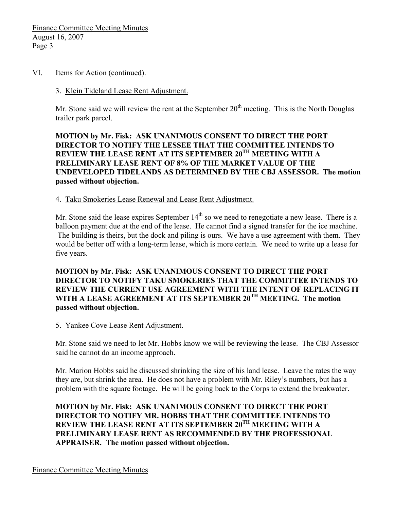VI. Items for Action (continued).

#### 3. Klein Tideland Lease Rent Adjustment.

Mr. Stone said we will review the rent at the September  $20<sup>th</sup>$  meeting. This is the North Douglas trailer park parcel.

**MOTION by Mr. Fisk: ASK UNANIMOUS CONSENT TO DIRECT THE PORT DIRECTOR TO NOTIFY THE LESSEE THAT THE COMMITTEE INTENDS TO REVIEW THE LEASE RENT AT ITS SEPTEMBER 20TH MEETING WITH A PRELIMINARY LEASE RENT OF 8% OF THE MARKET VALUE OF THE UNDEVELOPED TIDELANDS AS DETERMINED BY THE CBJ ASSESSOR. The motion passed without objection.** 

4. Taku Smokeries Lease Renewal and Lease Rent Adjustment.

Mr. Stone said the lease expires September  $14<sup>th</sup>$  so we need to renegotiate a new lease. There is a balloon payment due at the end of the lease. He cannot find a signed transfer for the ice machine. The building is theirs, but the dock and piling is ours. We have a use agreement with them. They would be better off with a long-term lease, which is more certain. We need to write up a lease for five years.

**MOTION by Mr. Fisk: ASK UNANIMOUS CONSENT TO DIRECT THE PORT DIRECTOR TO NOTIFY TAKU SMOKERIES THAT THE COMMITTEE INTENDS TO REVIEW THE CURRENT USE AGREEMENT WITH THE INTENT OF REPLACING IT WITH A LEASE AGREEMENT AT ITS SEPTEMBER 20TH MEETING. The motion passed without objection.** 

5. Yankee Cove Lease Rent Adjustment.

Mr. Stone said we need to let Mr. Hobbs know we will be reviewing the lease. The CBJ Assessor said he cannot do an income approach.

Mr. Marion Hobbs said he discussed shrinking the size of his land lease. Leave the rates the way they are, but shrink the area. He does not have a problem with Mr. Riley's numbers, but has a problem with the square footage. He will be going back to the Corps to extend the breakwater.

**MOTION by Mr. Fisk: ASK UNANIMOUS CONSENT TO DIRECT THE PORT DIRECTOR TO NOTIFY MR. HOBBS THAT THE COMMITTEE INTENDS TO REVIEW THE LEASE RENT AT ITS SEPTEMBER 20TH MEETING WITH A PRELIMINARY LEASE RENT AS RECOMMENDED BY THE PROFESSIONAL APPRAISER. The motion passed without objection.** 

Finance Committee Meeting Minutes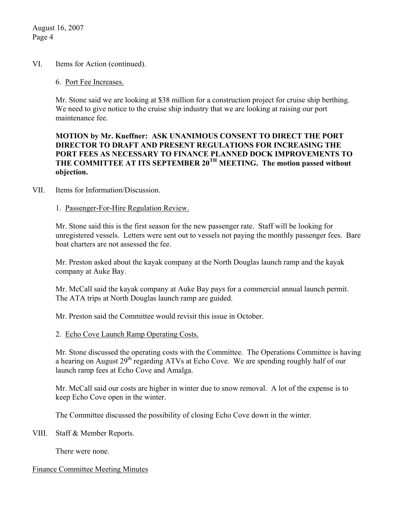August 16, 2007 Page 4

### VI. Items for Action (continued).

### 6. Port Fee Increases.

Mr. Stone said we are looking at \$38 million for a construction project for cruise ship berthing. We need to give notice to the cruise ship industry that we are looking at raising our port maintenance fee.

## **MOTION by Mr. Kueffner: ASK UNANIMOUS CONSENT TO DIRECT THE PORT DIRECTOR TO DRAFT AND PRESENT REGULATIONS FOR INCREASING THE PORT FEES AS NECESSARY TO FINANCE PLANNED DOCK IMPROVEMENTS TO THE COMMITTEE AT ITS SEPTEMBER 20TH MEETING. The motion passed without objection.**

### VII. Items for Information/Discussion.

### 1. Passenger-For-Hire Regulation Review.

Mr. Stone said this is the first season for the new passenger rate. Staff will be looking for unregistered vessels. Letters were sent out to vessels not paying the monthly passenger fees. Bare boat charters are not assessed the fee.

Mr. Preston asked about the kayak company at the North Douglas launch ramp and the kayak company at Auke Bay.

Mr. McCall said the kayak company at Auke Bay pays for a commercial annual launch permit. The ATA trips at North Douglas launch ramp are guided.

Mr. Preston said the Committee would revisit this issue in October.

### 2. Echo Cove Launch Ramp Operating Costs.

Mr. Stone discussed the operating costs with the Committee. The Operations Committee is having a hearing on August 29<sup>th</sup> regarding ATVs at Echo Cove. We are spending roughly half of our launch ramp fees at Echo Cove and Amalga.

Mr. McCall said our costs are higher in winter due to snow removal. A lot of the expense is to keep Echo Cove open in the winter.

The Committee discussed the possibility of closing Echo Cove down in the winter.

VIII. Staff & Member Reports.

There were none.

### Finance Committee Meeting Minutes